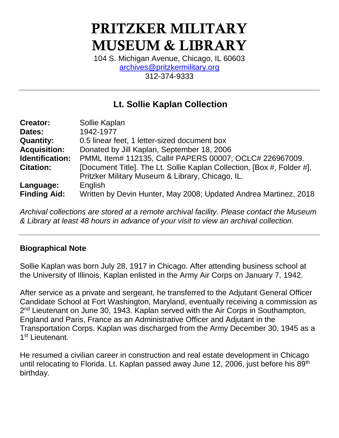# PRITZKER MILITARY MUSEUM & LIBRARY

104 S. Michigan Avenue, Chicago, IL 60603 [archives@pritzkermilitary.org](mailto:archives@pritzkermilitary.org) 312-374-9333

## **Lt. Sollie Kaplan Collection**

| <b>Creator:</b>     | Sollie Kaplan                                                          |
|---------------------|------------------------------------------------------------------------|
| Dates:              | 1942-1977                                                              |
| <b>Quantity:</b>    | 0.5 linear feet, 1 letter-sized document box                           |
| <b>Acquisition:</b> | Donated by Jill Kaplan, September 18, 2006                             |
| Identification:     | PMML Item# 112135, Call# PAPERS 00007; OCLC# 226967009.                |
| <b>Citation:</b>    | [Document Title]. The Lt. Sollie Kaplan Collection, [Box #, Folder #], |
|                     | Pritzker Military Museum & Library, Chicago, IL.                       |
| Language:           | English                                                                |
| <b>Finding Aid:</b> | Written by Devin Hunter, May 2008; Updated Andrea Martinez, 2018       |

*Archival collections are stored at a remote archival facility. Please contact the Museum & Library at least 48 hours in advance of your visit to view an archival collection.*

#### **Biographical Note**

Sollie Kaplan was born July 28, 1917 in Chicago. After attending business school at the University of Illinois, Kaplan enlisted in the Army Air Corps on January 7, 1942.

After service as a private and sergeant, he transferred to the Adjutant General Officer Candidate School at Fort Washington, Maryland, eventually receiving a commission as 2<sup>nd</sup> Lieutenant on June 30, 1943. Kaplan served with the Air Corps in Southampton, England and Paris, France as an Administrative Officer and Adjutant in the Transportation Corps. Kaplan was discharged from the Army December 30, 1945 as a 1<sup>st</sup> Lieutenant.

He resumed a civilian career in construction and real estate development in Chicago until relocating to Florida. Lt. Kaplan passed away June 12, 2006, just before his 89<sup>th</sup> birthday.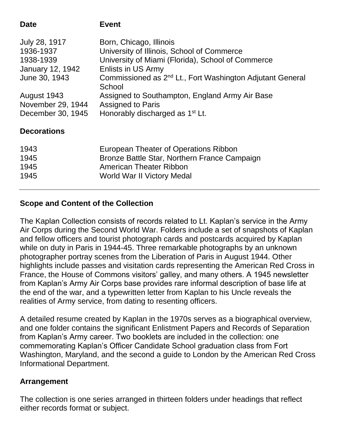| Commissioned as 2 <sup>nd</sup> Lt., Fort Washington Adjutant General |
|-----------------------------------------------------------------------|
|                                                                       |
|                                                                       |
|                                                                       |
|                                                                       |
|                                                                       |
|                                                                       |
|                                                                       |
|                                                                       |
|                                                                       |

## **Scope and Content of the Collection**

The Kaplan Collection consists of records related to Lt. Kaplan's service in the Army Air Corps during the Second World War. Folders include a set of snapshots of Kaplan and fellow officers and tourist photograph cards and postcards acquired by Kaplan while on duty in Paris in 1944-45. Three remarkable photographs by an unknown photographer portray scenes from the Liberation of Paris in August 1944. Other highlights include passes and visitation cards representing the American Red Cross in France, the House of Commons visitors' galley, and many others. A 1945 newsletter from Kaplan's Army Air Corps base provides rare informal description of base life at the end of the war, and a typewritten letter from Kaplan to his Uncle reveals the realities of Army service, from dating to resenting officers.

A detailed resume created by Kaplan in the 1970s serves as a biographical overview, and one folder contains the significant Enlistment Papers and Records of Separation from Kaplan's Army career. Two booklets are included in the collection: one commemorating Kaplan's Officer Candidate School graduation class from Fort Washington, Maryland, and the second a guide to London by the American Red Cross Informational Department.

## **Arrangement**

The collection is one series arranged in thirteen folders under headings that reflect either records format or subject.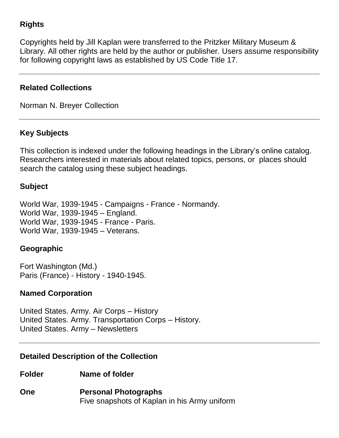## **Rights**

Copyrights held by Jill Kaplan were transferred to the Pritzker Military Museum & Library. All other rights are held by the author or publisher. Users assume responsibility for following copyright laws as established by US Code Title 17.

#### **Related Collections**

Norman N. Breyer Collection

### **Key Subjects**

This collection is indexed under the following headings in the Library's online catalog. Researchers interested in materials about related topics, persons, or places should search the catalog using these subject headings.

#### **Subject**

World War, 1939-1945 - Campaigns - France - Normandy. World War, 1939-1945 – England. World War, 1939-1945 - France - Paris. World War, 1939-1945 – Veterans.

#### **Geographic**

Fort Washington (Md.) Paris (France) - History - 1940-1945.

#### **Named Corporation**

United States. Army. Air Corps – History United States. Army. Transportation Corps – History. United States. Army – Newsletters

#### **Detailed Description of the Collection**

**Folder Name of folder**

**One Personal Photographs** Five snapshots of Kaplan in his Army uniform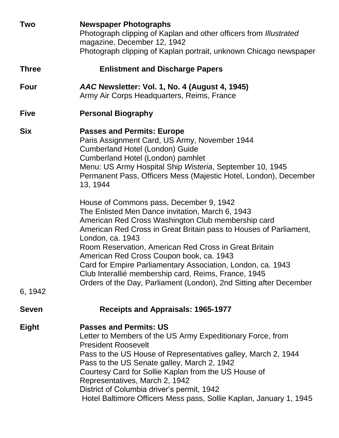| <b>Two</b>   | <b>Newspaper Photographs</b><br>Photograph clipping of Kaplan and other officers from Illustrated<br>magazine, December 12, 1942<br>Photograph clipping of Kaplan portrait, unknown Chicago newspaper                                                                                                                                                                                                                                                                                                                                        |
|--------------|----------------------------------------------------------------------------------------------------------------------------------------------------------------------------------------------------------------------------------------------------------------------------------------------------------------------------------------------------------------------------------------------------------------------------------------------------------------------------------------------------------------------------------------------|
| <b>Three</b> | <b>Enlistment and Discharge Papers</b>                                                                                                                                                                                                                                                                                                                                                                                                                                                                                                       |
| <b>Four</b>  | AAC Newsletter: Vol. 1, No. 4 (August 4, 1945)<br>Army Air Corps Headquarters, Reims, France                                                                                                                                                                                                                                                                                                                                                                                                                                                 |
| <b>Five</b>  | <b>Personal Biography</b>                                                                                                                                                                                                                                                                                                                                                                                                                                                                                                                    |
| <b>Six</b>   | <b>Passes and Permits: Europe</b><br>Paris Assignment Card, US Army, November 1944<br><b>Cumberland Hotel (London) Guide</b><br>Cumberland Hotel (London) pamhlet<br>Menu: US Army Hospital Ship Wisteria, September 10, 1945<br>Permanent Pass, Officers Mess (Majestic Hotel, London), December<br>13, 1944                                                                                                                                                                                                                                |
| 6, 1942      | House of Commons pass, December 9, 1942<br>The Enlisted Men Dance invitation, March 6, 1943<br>American Red Cross Washington Club membership card<br>American Red Cross in Great Britain pass to Houses of Parliament,<br>London, ca. 1943<br>Room Reservation, American Red Cross in Great Britain<br>American Red Cross Coupon book, ca. 1943<br>Card for Empire Parliamentary Association, London, ca. 1943<br>Club Interallié membership card, Reims, France, 1945<br>Orders of the Day, Parliament (London), 2nd Sitting after December |
| <b>Seven</b> | <b>Receipts and Appraisals: 1965-1977</b>                                                                                                                                                                                                                                                                                                                                                                                                                                                                                                    |
| <b>Eight</b> | <b>Passes and Permits: US</b><br>Letter to Members of the US Army Expeditionary Force, from<br><b>President Roosevelt</b><br>Pass to the US House of Representatives galley, March 2, 1944<br>Pass to the US Senate galley, March 2, 1942<br>Courtesy Card for Sollie Kaplan from the US House of<br>Representatives, March 2, 1942<br>District of Columbia driver's permit, 1942<br>Hotel Baltimore Officers Mess pass, Sollie Kaplan, January 1, 1945                                                                                      |